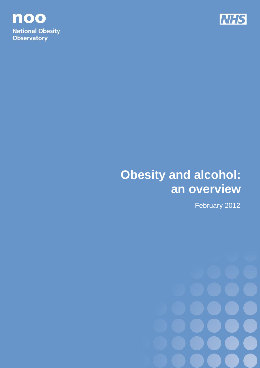



# **Obesity and alcohol: an overview**

February 2012

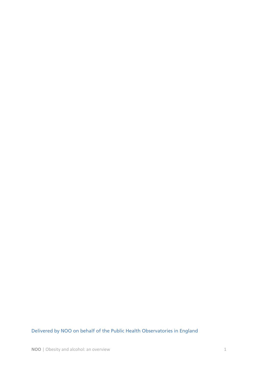Delivered by NOO on behalf of the Public Health Observatories in England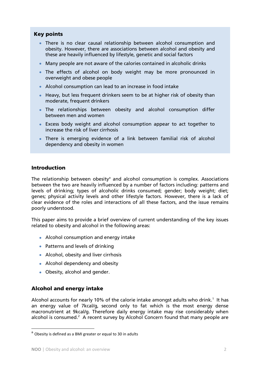## **Key points**

- There is no clear causal relationship between alcohol consumption and obesity. However, there are associations between alcohol and obesity and these are heavily influenced by lifestyle, genetic and social factors
- Many people are not aware of the calories contained in alcoholic drinks
- The effects of alcohol on body weight may be more pronounced in overweight and obese people
- Alcohol consumption can lead to an increase in food intake
- Heavy, but less frequent drinkers seem to be at higher risk of obesity than moderate, frequent drinkers
- The relationships between obesity and alcohol consumption differ between men and women
- Excess body weight and alcohol consumption appear to act together to increase the risk of liver cirrhosis
- There is emerging evidence of a link between familial risk of alcohol dependency and obesity in women

### **Introduction**

The relationship between obesity $a$  and alcohol consumption is complex. Associations between the two are heavily influenced by a number of factors including: patterns and levels of drinking; types of alcoholic drinks consumed; gender; body weight; diet; genes; physical activity levels and other lifestyle factors. However, there is a lack of clear evidence of the roles and interactions of all these factors, and the issue remains poorly understood.

This paper aims to provide a brief overview of current understanding of the key issues related to obesity and alcohol in the following areas:

- Alcohol consumption and energy intake
- Patterns and levels of drinking
- Alcohol, obesity and liver cirrhosis
- Alcohol dependency and obesity
- Obesity, alcohol and gender.

#### **Alcohol and energy intake**

Alcoholaccounts for nearly 10% of the calorie intake amongst adults who drink.<sup>1</sup> It has an energy value of 7kcal/g, second only to fat which is the most energy dense macronutrient at 9kcal/g. Therefore daily energy intake may rise considerably when alcohol is consumed[.](#page-6-1)<sup>2</sup> A recent survey by Alcohol Concern found that many people are

-

<sup>&</sup>lt;sup>a</sup> Obesity is defined as a BMI greater or equal to 30 in adults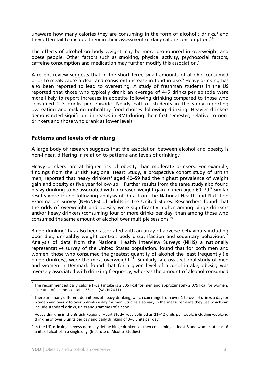unaware how many calories they are consuming in the form of alcoholic drinks, $3$  and they often fail to include them in their assessment of daily calorie consumption.<sup>[2,b](#page-6-1)</sup>

The effects of alcohol on body weight may be more pronounced in overweight and obese people. Other factors such as smoking, physical activity, psychosocial factors, caffeine consumption and medication may further modify this association[.](#page-6-3)<sup>4</sup>

A recent review suggests that in the short term, small amounts of alcohol consumed prior to meals cause a clear and consistent increase in food intake[.](#page-6-4)<sup>5</sup> Heavy drinking has also been reported to lead to overeating. A study of freshman students in the US reported that those who typically drank an average of 4–5 drinks per episode were more likely to report increases in appetite following drinking compared to those who consumed 2–3 drinks per episode. Nearly half of students in the study reporting overeating and making unhealthy food choices following drinking. Heavier drinkers demonstrated significant increases in BMI during their first semester, relative to non-drinkers and those who drank at lower levels[.](#page-6-5)<sup>6</sup>

### **Patterns and levels of drinking**

A large body of research suggests that the association between alcohol and obesity is non-linear, differing in relation to patterns and levels of drinking[.](#page-6-6)<sup>7</sup>

Heavy drinkers<sup>c</sup> are at higher risk of obesity than moderate drinkers. For example, findings from the British Regional Heart Study, a prospective cohort study of British men, reported that heavy drinkers<sup>d</sup> aged 40–59 had the highest prevalence of weight gain and obesity at five year follow-up.<sup>[8](#page-6-7)</sup> Further results from the same study also found heavy drinking to be associated with increased weight gain in men aged 60–79[.](#page-6-8)<sup>9</sup> Similar results were found following analysis of data from the National Health and Nutrition Examination Survey (NHANES) of adults in the United States. Researchers found that the odds of overweight and obesity were significantly higher among binge drinkers and/or heavy drinkers (consuming four or more drinks per day) than among those who consumed the same amount of alcohol over multiple sessions.<sup>[10](#page-6-9)</sup>

Binge drinking<sup>e</sup> has also been associated with an array of adverse behaviours including poor diet, unhealthy weight control, body dissatisfaction and sedentary behaviour.<sup>[11](#page-6-10)</sup> Analysis of data from the National Health Interview Surveys (NHIS) a nationally representative survey of the United States population, found that for both men and women, those who consumed the greatest quantity of alcohol the least frequently (ie binge drinkers), were the most overweight.<sup>[12](#page-6-11)</sup> Similarly, a cross sectional study of men and women in Denmark found that for a given level of alcohol intake, obesity was inversely associated with drinking frequency, whereas the amount of alcohol consumed

 b The recommended daily calorie (kCal) intake is 2,605 kcal for men and approximately 2,079 kcal for women. One unit of alcohol contains 56kcal. (SACN 2011)

 $\rm ^c$  There are many different definitions of heavy drinking, which can range from over 1 to over 4 drinks a day for women and over 2 to over 5 drinks a day for men. Studies also vary in the measurements they use which can include standard drinks, units and grammes of alcohol.

<sup>&</sup>lt;sup>d</sup> Heavy drinking in the British Regional Heart Study was defined as 21–42 units per week, including weekend drinking of over 6 units per day and daily drinking of 3–6 units per day.

<sup>&</sup>lt;sup>e</sup> In the UK, drinking surveys normally define binge drinkers as men consuming at least 8 and women at least 6 units of alcohol in a single day. (Institute of Alcohol Studies)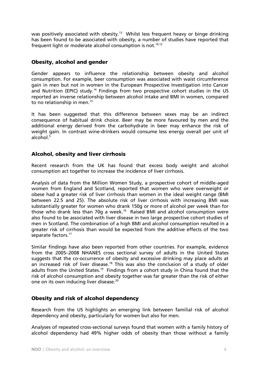was positively associated with obesity.<sup>[13](#page-6-12)</sup> Whilst less frequent heavy or binge drinking has been found to be associated with obesity, a number of studies have reported that frequent light or moderate alcohol consumption is not.<sup>[10,](#page-6-9)[12](#page-6-11)</sup>

## **Obesity, alcohol and gender**

Gender appears to influence the relationship between obesity and alcohol consumption. For example, beer consumption was associated with waist circumference gain in men but not in women in the European Prospective Investigation into Cancer and Nutrition (EPIC) study.<sup>[14](#page-6-13)</sup> Findings from two prospective cohort studies in the US reported an inverse relationship between alcohol intake and BMI in women, compared to no relationship in men.<sup>[15](#page-6-14)</sup>

It has been suggested that this difference between sexes may be an indirect consequence of habitual drink choice. Beer may be more favoured by men and the additional energy derived from the carbohydrate in beer may enhance the risk of weight gain. In contrast wine-drinkers would consume less energy overall per unit of alcohol[.](#page-6-4) $5$ 

### **Alcohol, obesity and liver cirrhosis**

Recent research from the UK has found that excess body weight and alcohol consumption act together to increase the incidence of liver cirrhosis.

Analysis of data from the Million Women Study, a prospective cohort of middle-aged women from England and Scotland, reported that women who were overweight or obese had a greater risk of liver cirrhosis than women in the ideal weight range (BMI between 22.5 and 25). The absolute risk of liver cirrhosis with increasing BMI was substantially greater for women who drank 150g or more of alcohol per week than for those who drank less than 70g a week.<sup>[16](#page-6-15)</sup> Raised BMI and alcohol consumption were also found to be associated with liver disease in two large prospective cohort studies of men in Scotland. The combination of a high BMI and alcohol consumption resulted in a greater risk of cirrhosis than would be expected from the additive effects of the two separate factors.<sup>[17](#page-7-0)</sup>

Similar findings have also been reported from other countries. For example, evidence from the 2005–2008 NHANES cross sectional survey of adults in the United States suggests that the co-occurrence of obesity and excessive drinking may place adults at an increased risk of liver disease.<sup>[18](#page-7-1)</sup> This was also the conclusion of a study of older adults from the United States.<sup>[19](#page-7-2)</sup> Findings from a cohort study in China found that the risk of alcohol consumption and obesity together was far greater than the risk of either one on its own inducing liver disease.<sup>[20](#page-7-3)</sup>

## **Obesity and risk of alcohol dependency**

Research from the US highlights an emerging link between familial risk of alcohol dependency and obesity, particularly for women but also for men.

Analyses of repeated cross-sectional surveys found that women with a family history of alcohol dependency had 49% higher odds of obesity than those without a family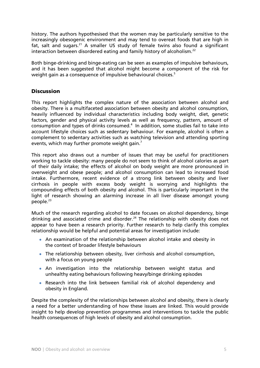history. The authors hypothesised that the women may be particularly sensitive to the increasingly obesogenic environment and may tend to overeat foods that are high in fat, salt and sugars.<sup>[21](#page-7-4)</sup> A smaller US study of female twins also found a significant interaction between disordered eating and family history of alcoholism.<sup>[22](#page-7-5)</sup>

Both binge-drinking and binge-eating can be seen as examples of impulsive behaviours, and it has been suggested that alcohol might become a component of the risk for weight gain as a consequence of impulsive behavioural choices.<sup>[5](#page-6-4)</sup>

## **Discussion**

This report highlights the complex nature of the association between alcohol and obesity. There is a multifaceted association between obesity and alcohol consumption, heavily influenced by individual characteristics including body weight, diet, genetic factors, gender and physical activity levels as well as frequency, pattern, amount of consumption and types of drinks consumed[.](#page-6-3) $4$  In addition, some studies fail to take into account lifestyle choices such as sedentary behaviour. For example, alcohol is often a complement to sedentary activities such as watching television and attending sporting events, which may further promote weight gain[.](#page-6-6)<sup>7</sup>

This report also draws out a number of issues that may be useful for practitioners working to tackle obesity: many people do not seem to think of alcohol calories as part of their daily intake; the effects of alcohol on body weight are more pronounced in overweight and obese people; and alcohol consumption can lead to increased food intake. Furthermore, recent evidence of a strong link between obesity and liver cirrhosis in people with excess body weight is worrying and highlights the compounding effects of both obesity and alcohol. This is particularly important in the light of research showing an alarming increase in all liver disease amongst young people. $23$ 

Much of the research regarding alcohol to date focuses on alcohol dependency, binge drinking and associated crime and disorder.<sup>[24](#page-7-7)</sup> The relationship with obesity does not appear to have been a research priority. Further research to help clarify this complex relationship would be helpful and potential areas for investigation include:

- An examination of the relationship between alcohol intake and obesity in the context of broader lifestyle behaviours
- The relationship between obesity, liver cirrhosis and alcohol consumption, with a focus on young people
- An investigation into the relationship between weight status and unhealthy eating behaviours following heavy/binge drinking episodes
- Research into the link between familial risk of alcohol dependency and obesity in England.

Despite the complexity of the relationships between alcohol and obesity, there is clearly a need for a better understanding of how these issues are linked. This would provide insight to help develop prevention programmes and interventions to tackle the public health consequences of high levels of obesity and alcohol consumption.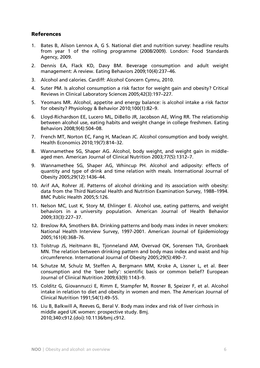### **References**

- <span id="page-6-0"></span>1. Bates B, Alison Lennox A, G S. National diet and nutrition survey: headline results from year 1 of the rolling programme (2008/2009). London: Food Standards Agency, 2009.
- <span id="page-6-1"></span>2. Dennis EA, Flack KD, Davy BM. Beverage consumption and adult weight management: A review. Eating Behaviors 2009;10(4):237–46.
- <span id="page-6-2"></span>3. Alcohol and calories. Cardiff: Alcohol Concern Cymru, 2010.
- <span id="page-6-3"></span>4. Suter PM. Is alcohol consumption a risk factor for weight gain and obesity? Critical Reviews in Clinical Laboratory Sciences 2005;42(3):197–227.
- <span id="page-6-4"></span>5. Yeomans MR. Alcohol, appetite and energy balance: is alcohol intake a risk factor for obesity? Physiology & Behavior 2010;100(1):82–9.
- <span id="page-6-5"></span>6. Lloyd-Richardson EE, Lucero ML, DiBello JR, Jacobson AE, Wing RR. The relationship between alcohol use, eating habits and weight change in college freshmen. Eating Behaviors 2008;9(4):504–08.
- <span id="page-6-6"></span>7. French MT, Norton EC, Fang H, Maclean JC. Alcohol consumption and body weight. Health Economics 2010;19(7):814–32.
- <span id="page-6-7"></span>8. Wannamethee SG, Shaper AG. Alcohol, body weight, and weight gain in middleaged men. American Journal of Clinical Nutrition 2003;77(5):1312–7.
- <span id="page-6-8"></span>9. Wannamethee SG, Shaper AG, Whincup PH. Alcohol and adiposity: effects of quantity and type of drink and time relation with meals. International Journal of Obesity 2005;29(12):1436–44.
- <span id="page-6-9"></span>10. Arif AA, Rohrer JE. Patterns of alcohol drinking and its association with obesity: data from the Third National Health and Nutrition Examination Survey, 1988–1994. BMC Public Health 2005;5:126.
- <span id="page-6-10"></span>11. Nelson MC, Lust K, Story M, Ehlinger E. Alcohol use, eating patterns, and weight behaviors in a university population. American Journal of Health Behavior 2009;33(3):227–37.
- <span id="page-6-11"></span>12. Breslow RA, Smothers BA. Drinking patterns and body mass index in never smokers: National Health Interview Survey, 1997-2001. American Journal of Epidemiology 2005;161(4):368–76.
- <span id="page-6-12"></span>13. Tolstrup JS, Heitmann BL, Tjonneland AM, Overvad OK, Sorensen TIA, Gronbaek MN. The relation between drinking pattern and body mass index and waist and hip circumference. International Journal of Obesity 2005;29(5):490–7.
- <span id="page-6-13"></span>14. Schutze M, Schulz M, Steffen A, Bergmann MM, Kroke A, Lissner L, et al. Beer consumption and the 'beer belly': scientific basis or common belief? European Journal of Clinical Nutrition 2009;63(9):1143–9.
- <span id="page-6-14"></span>15. Colditz G, Giovannucci E, Rimm E, Stampfer M, Rosner B, Speizer F, et al. Alcohol intake in relation to diet and obesity in women and men. The American Journal of Clinical Nutrition 1991;54(1):49–55.
- <span id="page-6-15"></span>16. Liu B, Balkwill A, Reeves G, Beral V. Body mass index and risk of liver cirrhosis in middle aged UK women: prospective study. Bmj. 2010;340:c912.(doi):10.1136/bmj.c912.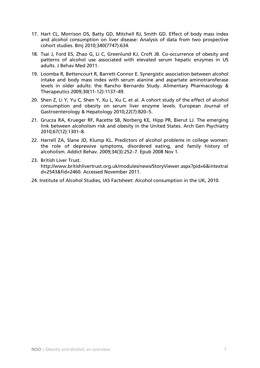- <span id="page-7-0"></span>17. Hart CL, Morrison DS, Batty GD, Mitchell RJ, Smith GD. Effect of body mass index and alcohol consumption on liver disease: Analysis of data from two prospective cohort studies. Bmj 2010;340(7747):634.
- <span id="page-7-1"></span>18. Tsai J, Ford ES, Zhao G, Li C, Greenlund KJ, Croft JB. Co-occurrence of obesity and patterns of alcohol use associated with elevated serum hepatic enzymes in US adults. J Behav Med 2011.
- <span id="page-7-2"></span>19. Loomba R, Bettencourt R, Barrett-Connor E. Synergistic association between alcohol intake and body mass index with serum alanine and aspartate aminotransferase levels in older adults: the Rancho Bernardo Study. Alimentary Pharmacology & Therapeutics 2009;30(11-12):1137–49.
- <span id="page-7-3"></span>20. Shen Z, Li Y, Yu C, Shen Y, Xu L, Xu C, et al. A cohort study of the effect of alcohol consumption and obesity on serum liver enzyme levels. European Journal of Gastroenterology & Hepatology 2010;22(7):820–5.
- <span id="page-7-4"></span>21. Grucza RA, Krueger RF, Racette SB, Norberg KE, Hipp PR, Bierut LJ. The emerging link between alcoholism risk and obesity in the United States. Arch Gen Psychiatry 2010;67(12):1301–8.
- <span id="page-7-5"></span>22. Harrell ZA, Slane JD, Klump KL. Predictors of alcohol problems in college women: the role of depressive symptoms, disordered eating, and family history of alcoholism. Addict Behav. 2009;34(3):252–7. Epub 2008 Nov 1.
- <span id="page-7-6"></span>23. British Liver Trust. http://www.britishlivertrust.org.uk/modules/news/StoryViewer.aspx?pid=6&intextrai d=2543&fid=2460. Accessed November 2011.
- <span id="page-7-7"></span>24. Institute of Alcohol Studies, IAS Factsheet: Alcohol consumption in the UK, 2010.